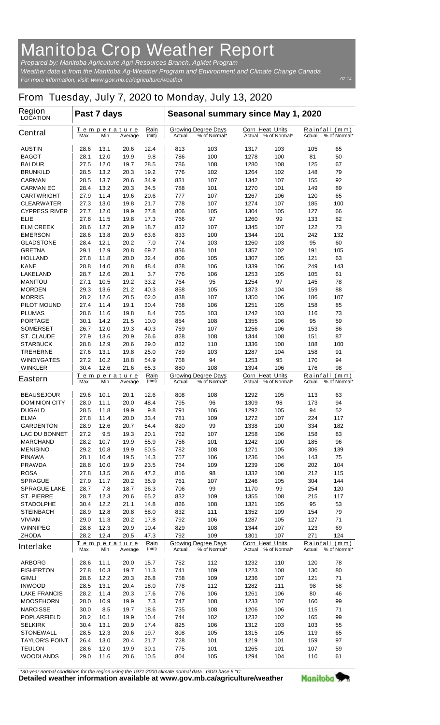## **Manitoba Crop Weather Report**

*For more information, visit: www.gov.mb.ca/agriculture/weather Prepared by: Manitoba Agriculture Agri-Resources Branch, AgMet Program Weather data is from the Manitoba Ag-Weather Program and Environment and Climate Change Canada*

## **From Tuesday, July 7, 2020 to Monday, July 13, 2020**

| Region<br><b>LOCATION</b>                 | Past 7 days                                                 |              |                               |                                                      | Seasonal summary since May 1, 2020 |                                                  |                                  |                                            |            |                               |
|-------------------------------------------|-------------------------------------------------------------|--------------|-------------------------------|------------------------------------------------------|------------------------------------|--------------------------------------------------|----------------------------------|--------------------------------------------|------------|-------------------------------|
| <b>Central</b>                            | Max                                                         | Min          | <u>Temperature</u><br>Average | <u>Rain</u><br>(mm)                                  | Actual                             | <b>Growing Degree Days</b><br>% of Normal*       | <b>Corn Heat Units</b>           | Actual % of Normal*                        | Actual     | Rainfall (mm)<br>% of Normal* |
| <b>AUSTIN</b>                             | 28.6                                                        | 13.1         | 20.6                          | 12.4                                                 | 813                                | 103                                              | 1317                             | 103                                        | 105        | 65                            |
| <b>BAGOT</b>                              | 28.1                                                        | 12.0         | 19.9                          | 9.8                                                  | 786                                | 100                                              | 1278                             | 100                                        | 81         | 50                            |
| <b>BALDUR</b>                             | 27.5                                                        | 12.0         | 19.7                          | 28.5                                                 | 786                                | 108                                              | 1280                             | 108                                        | 125        | 67                            |
| BRUNKILD                                  | 28.5                                                        | 13.2         | 20.3                          | 19.2                                                 | 776                                | 102                                              | 1264                             | 102                                        | 148        | 79                            |
| <b>CARMAN</b>                             | 28.5                                                        | 13.7         | 20.6                          | 34.9                                                 | 831                                | 107                                              | 1342                             | 107                                        | 155        | 92                            |
| <b>CARMAN EC</b>                          | 28.4                                                        | 13.2         | 20.3                          | 34.5                                                 | 788                                | 101                                              | 1270                             | 101                                        | 149        | 89                            |
| <b>CARTWRIGHT</b>                         | 27.9                                                        | 11.4         | 19.6                          | 20.6                                                 | 777                                | 107                                              | 1267                             | 106                                        | 120        | 65                            |
| <b>CLEARWATER</b><br><b>CYPRESS RIVER</b> | 27.3<br>27.7                                                | 13.0<br>12.0 | 19.8<br>19.9                  | 21.7<br>27.8                                         | 778<br>806                         | 107<br>105                                       | 1274<br>1304                     | 107<br>105                                 | 185<br>127 | 100<br>66                     |
| ELIE                                      | 27.8                                                        | 11.5         | 19.8                          | 17.3                                                 | 766                                | 97                                               | 1260                             | 99                                         | 133        | 82                            |
| <b>ELM CREEK</b>                          | 28.6                                                        | 12.7         | 20.9                          | 18.7                                                 | 832                                | 107                                              | 1345                             | 107                                        | 122        | 73                            |
| <b>EMERSON</b>                            | 28.6                                                        | 13.8         | 20.9                          | 63.6                                                 | 833                                | 100                                              | 1344                             | 101                                        | 242        | 132                           |
| <b>GLADSTONE</b>                          | 28.4                                                        | 12.1         | 20.2                          | 7.0                                                  | 774                                | 103                                              | 1260                             | 103                                        | 95         | 60                            |
| <b>GRETNA</b>                             | 29.1                                                        | 12.9         | 20.8                          | 69.7                                                 | 836                                | 101                                              | 1357                             | 102                                        | 191        | 105                           |
| <b>HOLLAND</b>                            | 27.8                                                        | 11.8         | 20.0                          | 32.4                                                 | 806                                | 105                                              | 1307                             | 105                                        | 121        | 63                            |
| <b>KANE</b>                               | 28.8                                                        | 14.0         | 20.8                          | 48.4                                                 | 828                                | 106                                              | 1339                             | 106                                        | 249        | 143                           |
| <b>LAKELAND</b>                           | 28.7                                                        | 12.6         | 20.1                          | 3.7                                                  | 776                                | 106                                              | 1253                             | 105                                        | 105        | 61                            |
| <b>MANITOU</b>                            | 27.1                                                        | 10.5         | 19.2                          | 33.2                                                 | 764                                | 95                                               | 1254                             | 97                                         | 145        | 78                            |
| <b>MORDEN</b>                             | 29.3                                                        | 13.6         | 21.2                          | 40.3                                                 | 858                                | 105                                              | 1373                             | 104                                        | 159        | 88                            |
| <b>MORRIS</b>                             | 28.2                                                        | 12.6         | 20.5                          | 62.0                                                 | 838                                | 107                                              | 1350                             | 106                                        | 186        | 107                           |
| <b>PILOT MOUND</b>                        | 27.4                                                        | 11.4         | 19.1                          | 30.4                                                 | 768                                | 106                                              | 1251                             | 105                                        | 158        | 85                            |
| <b>PLUMAS</b><br><b>PORTAGE</b>           | 28.6<br>30.1                                                | 11.6<br>14.2 | 19.8<br>21.5                  | 8.4<br>10.0                                          | 765<br>854                         | 103<br>108                                       | 1242<br>1355                     | 103<br>106                                 | 116<br>95  | 73<br>59                      |
| <b>SOMERSET</b>                           | 26.7                                                        | 12.0         | 19.3                          | 40.3                                                 | 769                                | 107                                              | 1256                             | 106                                        | 153        | 86                            |
| <b>ST. CLAUDE</b>                         | 27.9                                                        | 13.6         | 20.9                          | 26.6                                                 | 828                                | 108                                              | 1344                             | 108                                        | 151        | 87                            |
| <b>STARBUCK</b>                           | 28.8                                                        | 12.9         | 20.6                          | 29.0                                                 | 832                                | 110                                              | 1336                             | 108                                        | 188        | 100                           |
| <b>TREHERNE</b>                           | 27.6                                                        | 13.1         | 19.8                          | 25.0                                                 | 789                                | 103                                              | 1287                             | 104                                        | 158        | 91                            |
| <b>WINDYGATES</b>                         | 27.2                                                        | 10.2         | 18.8                          | 54.9                                                 | 768                                | 94                                               | 1253                             | 95                                         | 170        | 94                            |
| <b>WINKLER</b>                            | 30.4                                                        | 12.6         | 21.6                          | 65.3                                                 | 880                                | 108                                              | 1394                             | 106                                        | 176        | 98                            |
| <b>Eastern</b>                            | Max                                                         | Min          | <u>Temperature</u><br>Average | Rain<br>(mm)                                         | Actual                             | <b>Growing Degree Days</b><br>% of Normal*       | <b>Corn Heat Units</b><br>Actual | % of Normal*                               | Actual     | Rainfall (mm)<br>% of Normal* |
| <b>BEAUSEJOUR</b>                         | 29.6                                                        | 10.1         | 20.1                          | 12.6                                                 | 808                                | 108                                              | 1292                             | 105                                        | 113        | 63                            |
| <b>DOMINION CITY</b>                      | 28.0                                                        | 11.1         | 20.0                          | 48.4                                                 | 795                                | 96                                               | 1309                             | 98                                         | 173        | 94                            |
| <b>DUGALD</b>                             | 28.5                                                        | 11.8         | 19.9                          | 9.8                                                  | 791                                | 106                                              | 1292                             | 105                                        | 94         | 52                            |
| <b>ELMA</b>                               | 27.8                                                        | 11.4         | 20.0                          | 33.4                                                 | 781                                | 109                                              | 1272                             | 107                                        | 224        | 117                           |
| <b>GARDENTON</b>                          | 28.9                                                        | 12.6         | 20.7                          | 54.4                                                 | 820                                | 99                                               | 1338                             | 100                                        | 334        | 182                           |
| <b>LAC DU BONNET</b>                      | 27.2                                                        | 9.5          | 19.3                          | 20.1                                                 | 762                                | 107                                              | 1258                             | 106                                        | 158        | 83                            |
| <b>MARCHAND</b>                           | 28.2                                                        | 10.7         | 19.9                          | 55.9                                                 | 756                                | 101                                              | 1242                             | 100                                        | 185        | 96                            |
| <b>MENISINO</b><br><b>PINAWA</b>          | 29.2<br>28.1                                                | 10.8<br>10.4 | 19.9<br>19.5                  | 50.5<br>14.3                                         | 782<br>757                         | 108<br>106                                       | 1271<br>1236                     | 105<br>104                                 | 306<br>143 | 139<br>75                     |
| <b>PRAWDA</b>                             | 28.8                                                        | 10.0         | 19.9                          | 23.5                                                 | 764                                | 109                                              | 1239                             | 106                                        | 202        | 104                           |
| <b>ROSA</b>                               | 27.8                                                        | 13.5         | 20.6                          | 47.2                                                 | 816                                | 98                                               | 1332                             | 100                                        | 212        | 115                           |
| <b>SPRAGUE</b>                            | 27.9                                                        | 11.7         | 20.2                          | 35.9                                                 | 761                                | 107                                              | 1246                             | 105                                        | 304        | 144                           |
| <b>SPRAGUE LAKE</b>                       | 28.7                                                        | 7.8          | 18.7                          | 36.3                                                 | 706                                | 99                                               | 1170                             | 99                                         | 254        | 120                           |
| <b>ST. PIERRE</b>                         | 28.7                                                        | 12.3         | 20.6                          | 65.2                                                 | 832                                | 109                                              | 1355                             | 108                                        | 215        | 117                           |
| <b>STADOLPHE</b>                          | 30.4                                                        | 12.2         | 21.1                          | 14.8                                                 | 826                                | 108                                              | 1321                             | 105                                        | 95         | 53                            |
| <b>STEINBACH</b>                          | 28.9                                                        | 12.8         | 20.8                          | 58.0                                                 | 832                                | 111                                              | 1352                             | 109                                        | 154        | 79                            |
| <b>VIVIAN</b>                             | 29.0                                                        | 11.3         | 20.2                          | 17.8                                                 | 792                                | 106                                              | 1287                             | 105                                        | 127        | 71                            |
| <b>WINNIPEG</b>                           | 28.8                                                        | 12.3         | 20.9                          | 10.4                                                 | 829                                | 108                                              | 1344                             | 107                                        | 123        | 69                            |
| <b>ZHODA</b>                              | 28.2                                                        | 12.4         | 20.5                          | 47.3                                                 | 792                                | 109                                              | 1301                             | 107                                        | 271        | 124                           |
| <b>Interlake</b>                          | Rain<br><u>Temperature</u><br>(mm)<br>Max<br>Min<br>Average |              |                               | <b>Growing Degree Days</b><br>% of Normal*<br>Actual |                                    | <b>Corn Heat Units</b><br>% of Normal*<br>Actual |                                  | Rainfall<br>(mm)<br>Actual<br>% of Normal* |            |                               |
| <b>ARBORG</b>                             | 28.6                                                        | 11.1         | 20.0                          | 15.7                                                 | 752                                | 112                                              | 1232                             | 110                                        | 120        | 78                            |
| <b>FISHERTON</b>                          | 27.8                                                        | 10.3         | 19.7                          | 11.3                                                 | 741                                | 109                                              | 1223                             | 108                                        | 130        | 80                            |
| GIMLI                                     | 28.6                                                        | 12.2         | 20.3                          | 26.8                                                 | 758                                | 109                                              | 1236                             | 107                                        | 121        | 71                            |
| <b>INWOOD</b>                             | 28.5                                                        | 13.1         | 20.4                          | 18.0                                                 | 778                                | 112                                              | 1282                             | 111                                        | 98         | 58                            |
| <b>LAKE FRANCIS</b>                       | 28.2                                                        | 11.4         | 20.3                          | 17.6                                                 | 776                                | 106                                              | 1261                             | 106                                        | 80         | 46                            |
| <b>MOOSEHORN</b>                          | 28.0                                                        | 10.9         | 19.9                          | 7.3                                                  | 747                                | 108                                              | 1233                             | 107                                        | 160        | 99                            |
| <b>NARCISSE</b>                           | 30.0                                                        | 8.5          | 19.7                          | 18.6                                                 | 735                                | 108                                              | 1206                             | 106                                        | 115        | 71                            |
| <b>POPLARFIELD</b><br><b>SELKIRK</b>      | 28.2<br>30.4                                                | 10.1<br>13.1 | 19.9<br>20.9                  | 10.4<br>17.4                                         | 744<br>825                         | 102<br>106                                       | 1232<br>1312                     | 102<br>103                                 | 165<br>103 | 99<br>55                      |
| <b>STONEWALL</b>                          | 28.5                                                        | 12.3         | 20.6                          | 19.7                                                 | 808                                | 105                                              | 1315                             | 105                                        | 119        | 65                            |
| <b>TAYLOR'S POINT</b>                     | 26.4                                                        | 13.0         | 20.4                          | 21.7                                                 | 728                                | 101                                              | 1219                             | 101                                        | 159        | 97                            |
| <b>TEULON</b>                             | 28.6                                                        | 12.0         | 19.9                          | 30.1                                                 | 775                                | 101                                              | 1265                             | 101                                        | 107        | 59                            |
| <b>WOODLANDS</b>                          | 29.0                                                        | 11.6         | 20.6                          | 10.5                                                 | 804                                | 105                                              | 1294                             | 104                                        | 110        | 61                            |

*\*30-year normal conditions for the region using the 1971-2000 climate normal data. GDD base 5 °C*<br>Detailed weather information available at www.gov.mb.ca/agriculture/weather